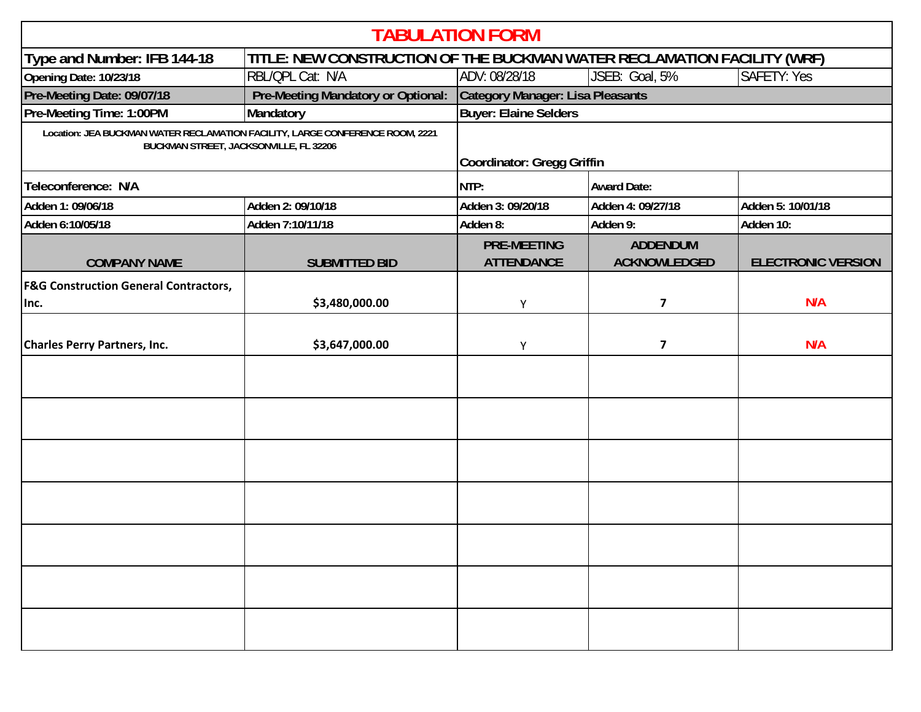| <b>TABULATION FORM</b>                                                                                                  |                                    |                                                                         |                                        |                           |  |  |  |  |
|-------------------------------------------------------------------------------------------------------------------------|------------------------------------|-------------------------------------------------------------------------|----------------------------------------|---------------------------|--|--|--|--|
| Type and Number: IFB 144-18                                                                                             |                                    | TITLE: NEW CONSTRUCTION OF THE BUCKMAN WATER RECLAMATION FACILITY (WRF) |                                        |                           |  |  |  |  |
| Opening Date: 10/23/18                                                                                                  | RBL/QPL Cat: N/A                   | ADV: 08/28/18                                                           | JSEB: Goal, 5%                         | <b>SAFETY: Yes</b>        |  |  |  |  |
| Pre-Meeting Date: 09/07/18                                                                                              | Pre-Meeting Mandatory or Optional: | Category Manager: Lisa Pleasants                                        |                                        |                           |  |  |  |  |
| Pre-Meeting Time: 1:00PM                                                                                                | Mandatory                          | <b>Buyer: Elaine Selders</b>                                            |                                        |                           |  |  |  |  |
| Location: JEA BUCKMAN WATER RECLAMATION FACILITY, LARGE CONFERENCE ROOM, 2221<br>BUCKMAN STREET, JACKSONVILLE, FL 32206 |                                    | Coordinator: Gregg Griffin                                              |                                        |                           |  |  |  |  |
| Teleconference: N/A                                                                                                     |                                    | NTP:                                                                    | <b>Award Date:</b>                     |                           |  |  |  |  |
| Adden 1: 09/06/18                                                                                                       | Adden 2: 09/10/18                  | Adden 3: 09/20/18                                                       | Adden 4: 09/27/18                      | Adden 5: 10/01/18         |  |  |  |  |
| Adden 6:10/05/18                                                                                                        | Adden 7:10/11/18                   | Adden 8:                                                                | Adden 9:                               | Adden 10:                 |  |  |  |  |
| <b>COMPANY NAME</b>                                                                                                     | <b>SUBMITTED BID</b>               | <b>PRE-MEETING</b><br><b>ATTENDANCE</b>                                 | <b>ADDENDUM</b><br><b>ACKNOWLEDGED</b> | <b>ELECTRONIC VERSION</b> |  |  |  |  |
| <b>F&amp;G Construction General Contractors,</b><br>Inc.                                                                | \$3,480,000.00                     | Υ                                                                       | $\overline{\mathbf{z}}$                | N/A                       |  |  |  |  |
| <b>Charles Perry Partners, Inc.</b>                                                                                     | \$3,647,000.00                     | Υ                                                                       | $\overline{\mathbf{z}}$                | N/A                       |  |  |  |  |
|                                                                                                                         |                                    |                                                                         |                                        |                           |  |  |  |  |
|                                                                                                                         |                                    |                                                                         |                                        |                           |  |  |  |  |
|                                                                                                                         |                                    |                                                                         |                                        |                           |  |  |  |  |
|                                                                                                                         |                                    |                                                                         |                                        |                           |  |  |  |  |
|                                                                                                                         |                                    |                                                                         |                                        |                           |  |  |  |  |
|                                                                                                                         |                                    |                                                                         |                                        |                           |  |  |  |  |
|                                                                                                                         |                                    |                                                                         |                                        |                           |  |  |  |  |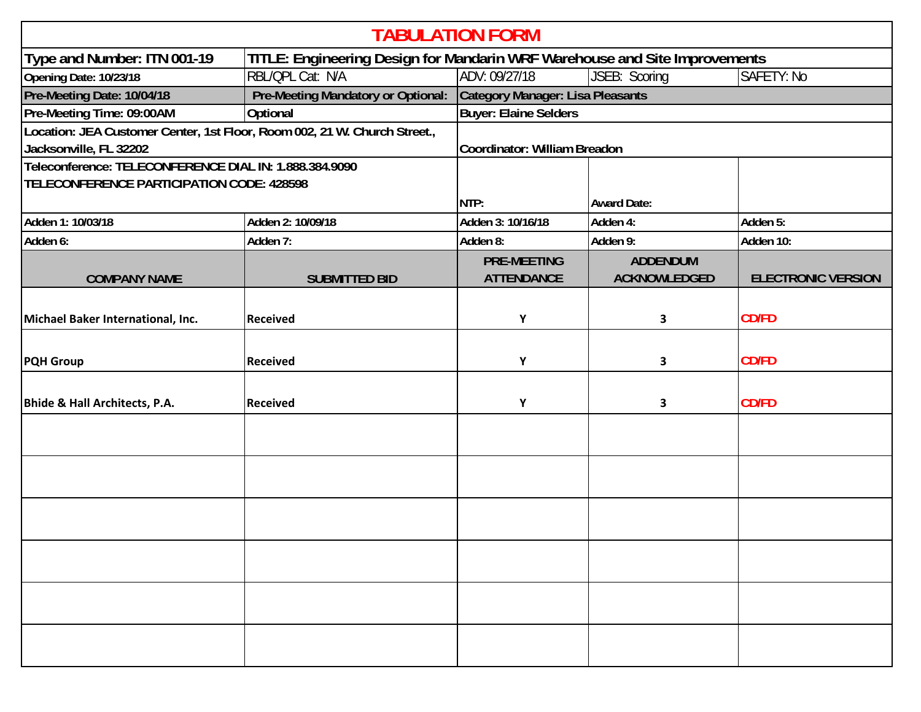| <b>TABULATION FORM</b>                                                    |                                    |                                                                            |                     |                           |  |  |  |  |
|---------------------------------------------------------------------------|------------------------------------|----------------------------------------------------------------------------|---------------------|---------------------------|--|--|--|--|
| Type and Number: ITN 001-19                                               |                                    | TITLE: Engineering Design for Mandarin WRF Warehouse and Site Improvements |                     |                           |  |  |  |  |
| Opening Date: 10/23/18                                                    | RBL/QPL Cat: N/A                   | ADV: 09/27/18<br>JSEB: Scoring<br>SAFETY: No                               |                     |                           |  |  |  |  |
| Pre-Meeting Date: 10/04/18                                                | Pre-Meeting Mandatory or Optional: | Category Manager: Lisa Pleasants                                           |                     |                           |  |  |  |  |
| Pre-Meeting Time: 09:00AM                                                 | <b>Optional</b>                    | <b>Buyer: Elaine Selders</b>                                               |                     |                           |  |  |  |  |
| Location: JEA Customer Center, 1st Floor, Room 002, 21 W. Church Street., |                                    |                                                                            |                     |                           |  |  |  |  |
| Jacksonville, FL 32202                                                    |                                    | Coordinator: William Breadon                                               |                     |                           |  |  |  |  |
| Teleconference: TELECONFERENCE DIAL IN: 1.888.384.9090                    |                                    |                                                                            |                     |                           |  |  |  |  |
| <b>TELECONFERENCE PARTICIPATION CODE: 428598</b>                          |                                    |                                                                            |                     |                           |  |  |  |  |
|                                                                           |                                    | NTP:                                                                       | <b>Award Date:</b>  |                           |  |  |  |  |
| Adden 1: 10/03/18                                                         | Adden 2: 10/09/18                  | Adden 3: 10/16/18                                                          | Adden 4:            | Adden 5:                  |  |  |  |  |
| Adden 6:                                                                  | Adden 7:                           | Adden 8:                                                                   | Adden 9:            | Adden 10:                 |  |  |  |  |
|                                                                           |                                    | <b>PRE-MEETING</b>                                                         | <b>ADDENDUM</b>     |                           |  |  |  |  |
| <b>COMPANY NAME</b>                                                       | <b>SUBMITTED BID</b>               | <b>ATTENDANCE</b>                                                          | <b>ACKNOWLEDGED</b> | <b>ELECTRONIC VERSION</b> |  |  |  |  |
|                                                                           |                                    |                                                                            |                     |                           |  |  |  |  |
| Michael Baker International, Inc.                                         | <b>Received</b>                    | Υ                                                                          | 3                   | <b>CD/FD</b>              |  |  |  |  |
|                                                                           |                                    |                                                                            |                     |                           |  |  |  |  |
|                                                                           | <b>Received</b>                    | Υ                                                                          |                     | <b>CD/FD</b>              |  |  |  |  |
| <b>PQH Group</b>                                                          |                                    |                                                                            | 3                   |                           |  |  |  |  |
|                                                                           |                                    |                                                                            |                     |                           |  |  |  |  |
| <b>Bhide &amp; Hall Architects, P.A.</b>                                  | <b>Received</b>                    | Υ                                                                          | 3                   | <b>CD/FD</b>              |  |  |  |  |
|                                                                           |                                    |                                                                            |                     |                           |  |  |  |  |
|                                                                           |                                    |                                                                            |                     |                           |  |  |  |  |
|                                                                           |                                    |                                                                            |                     |                           |  |  |  |  |
|                                                                           |                                    |                                                                            |                     |                           |  |  |  |  |
|                                                                           |                                    |                                                                            |                     |                           |  |  |  |  |
|                                                                           |                                    |                                                                            |                     |                           |  |  |  |  |
|                                                                           |                                    |                                                                            |                     |                           |  |  |  |  |
|                                                                           |                                    |                                                                            |                     |                           |  |  |  |  |
|                                                                           |                                    |                                                                            |                     |                           |  |  |  |  |
|                                                                           |                                    |                                                                            |                     |                           |  |  |  |  |
|                                                                           |                                    |                                                                            |                     |                           |  |  |  |  |
|                                                                           |                                    |                                                                            |                     |                           |  |  |  |  |
|                                                                           |                                    |                                                                            |                     |                           |  |  |  |  |